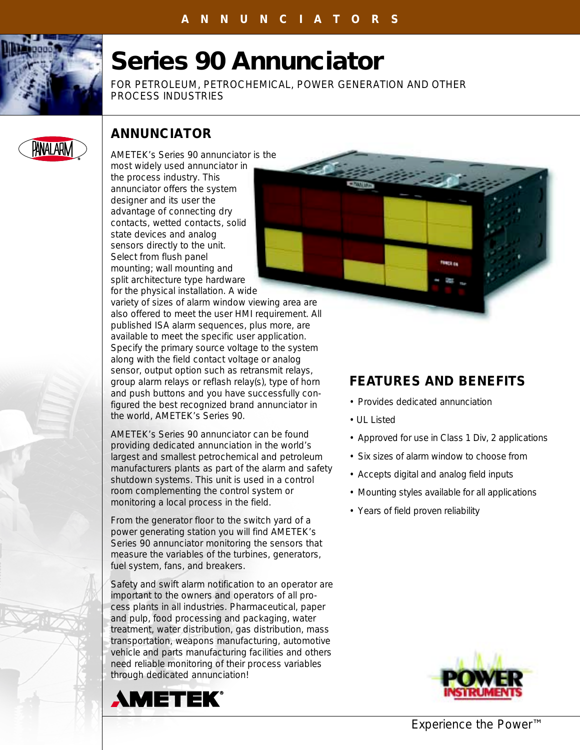

# **Series 90 Annunciator**

FOR PETROLEUM, PETROCHEMICAL, POWER GENERATION AND OTHER PROCESS INDUSTRIES



## **ANNUNCIATOR**

AMETEK's Series 90 annunciator is the most widely used annunciator in the process industry. This annunciator offers the system designer and its user the advantage of connecting dry contacts, wetted contacts, solid state devices and analog sensors directly to the unit. Select from flush panel mounting; wall mounting and split architecture type hardware for the physical installation. A wide



variety of sizes of alarm window viewing area are also offered to meet the user HMI requirement. All published ISA alarm sequences, plus more, are available to meet the specific user application. Specify the primary source voltage to the system along with the field contact voltage or analog sensor, output option such as retransmit relays, group alarm relays or reflash relay(s), type of horn and push buttons and you have successfully configured the best recognized brand annunciator in the world, AMETEK's Series 90.

AMETEK's Series 90 annunciator can be found providing dedicated annunciation in the world's largest and smallest petrochemical and petroleum manufacturers plants as part of the alarm and safety shutdown systems. This unit is used in a control room complementing the control system or monitoring a local process in the field.

From the generator floor to the switch yard of a power generating station you will find AMETEK's Series 90 annunciator monitoring the sensors that measure the variables of the turbines, generators, fuel system, fans, and breakers.

Safety and swift alarm notification to an operator are important to the owners and operators of all process plants in all industries. Pharmaceutical, paper and pulp, food processing and packaging, water treatment, water distribution, gas distribution, mass transportation, weapons manufacturing, automotive vehicle and parts manufacturing facilities and others need reliable monitoring of their process variables through dedicated annunciation!



## **FEATURES AND BENEFITS**

- Provides dedicated annunciation
- UL Listed
- Approved for use in Class 1 Div, 2 applications
- Six sizes of alarm window to choose from
- Accepts digital and analog field inputs
- Mounting styles available for all applications
- Years of field proven reliability



*Experience the Power™*